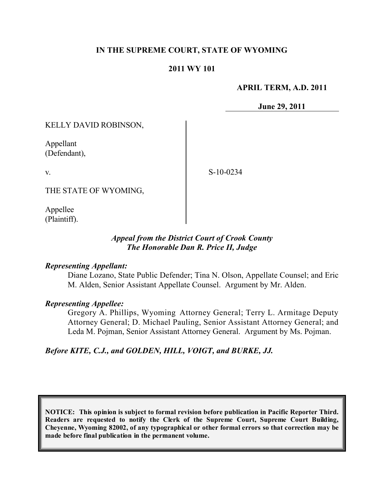# **IN THE SUPREME COURT, STATE OF WYOMING**

#### **2011 WY 101**

#### **APRIL TERM, A.D. 2011**

**June 29, 2011**

KELLY DAVID ROBINSON,

Appellant (Defendant),

v.

S-10-0234

THE STATE OF WYOMING,

Appellee (Plaintiff).

## *Appeal from the District Court of Crook County The Honorable Dan R. Price II, Judge*

#### *Representing Appellant:*

Diane Lozano, State Public Defender; Tina N. Olson, Appellate Counsel; and Eric M. Alden, Senior Assistant Appellate Counsel. Argument by Mr. Alden.

#### *Representing Appellee:*

Gregory A. Phillips, Wyoming Attorney General; Terry L. Armitage Deputy Attorney General; D. Michael Pauling, Senior Assistant Attorney General; and Leda M. Pojman, Senior Assistant Attorney General. Argument by Ms. Pojman.

*Before KITE, C.J., and GOLDEN, HILL, VOIGT, and BURKE, JJ.*

**NOTICE: This opinion is subject to formal revision before publication in Pacific Reporter Third. Readers are requested to notify the Clerk of the Supreme Court, Supreme Court Building, Cheyenne, Wyoming 82002, of any typographical or other formal errors so that correction may be made before final publication in the permanent volume.**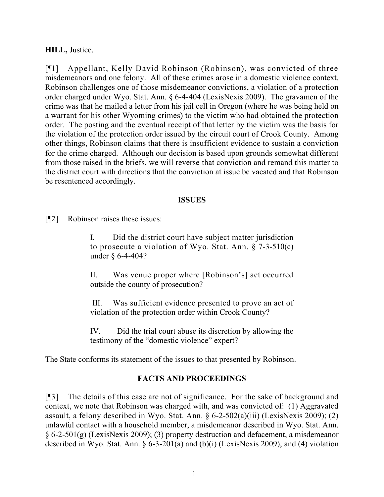## **HILL,** Justice.

[¶1] Appellant, Kelly David Robinson (Robinson), was convicted of three misdemeanors and one felony. All of these crimes arose in a domestic violence context. Robinson challenges one of those misdemeanor convictions, a violation of a protection order charged under Wyo. Stat. Ann. § 6-4-404 (LexisNexis 2009). The gravamen of the crime was that he mailed a letter from his jail cell in Oregon (where he was being held on a warrant for his other Wyoming crimes) to the victim who had obtained the protection order. The posting and the eventual receipt of that letter by the victim was the basis for the violation of the protection order issued by the circuit court of Crook County. Among other things, Robinson claims that there is insufficient evidence to sustain a conviction for the crime charged. Although our decision is based upon grounds somewhat different from those raised in the briefs, we will reverse that conviction and remand this matter to the district court with directions that the conviction at issue be vacated and that Robinson be resentenced accordingly.

## **ISSUES**

[¶2] Robinson raises these issues:

I. Did the district court have subject matter jurisdiction to prosecute a violation of Wyo. Stat. Ann. § 7-3-510(c) under § 6-4-404?

II. Was venue proper where [Robinson's] act occurred outside the county of prosecution?

III. Was sufficient evidence presented to prove an act of violation of the protection order within Crook County?

IV. Did the trial court abuse its discretion by allowing the testimony of the "domestic violence" expert?

The State conforms its statement of the issues to that presented by Robinson.

# **FACTS AND PROCEEDINGS**

[¶3] The details of this case are not of significance. For the sake of background and context, we note that Robinson was charged with, and was convicted of: (1) Aggravated assault, a felony described in Wyo. Stat. Ann.  $\S 6-2-502(a)(iii)$  (LexisNexis 2009); (2) unlawful contact with a household member, a misdemeanor described in Wyo. Stat. Ann. § 6-2-501(g) (LexisNexis 2009); (3) property destruction and defacement, a misdemeanor described in Wyo. Stat. Ann. § 6-3-201(a) and (b)(i) (LexisNexis 2009); and (4) violation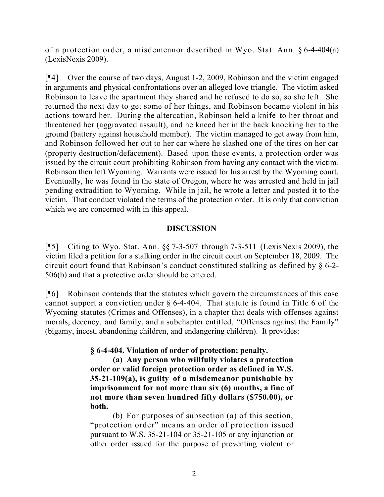of a protection order, a misdemeanor described in Wyo. Stat. Ann. § 6-4-404(a) (LexisNexis 2009).

[¶4] Over the course of two days, August 1-2, 2009, Robinson and the victim engaged in arguments and physical confrontations over an alleged love triangle. The victim asked Robinson to leave the apartment they shared and he refused to do so, so she left. She returned the next day to get some of her things, and Robinson became violent in his actions toward her. During the altercation, Robinson held a knife to her throat and threatened her (aggravated assault), and he kneed her in the back knocking her to the ground (battery against household member). The victim managed to get away from him, and Robinson followed her out to her car where he slashed one of the tires on her car (property destruction/defacement). Based upon these events, a protection order was issued by the circuit court prohibiting Robinson from having any contact with the victim. Robinson then left Wyoming. Warrants were issued for his arrest by the Wyoming court. Eventually, he was found in the state of Oregon, where he was arrested and held in jail pending extradition to Wyoming. While in jail, he wrote a letter and posted it to the victim. That conduct violated the terms of the protection order. It is only that conviction which we are concerned with in this appeal.

# **DISCUSSION**

[¶5] Citing to Wyo. Stat. Ann. §§ 7-3-507 through 7-3-511 (LexisNexis 2009), the victim filed a petition for a stalking order in the circuit court on September 18, 2009. The circuit court found that Robinson's conduct constituted stalking as defined by § 6-2- 506(b) and that a protective order should be entered.

[¶6] Robinson contends that the statutes which govern the circumstances of this case cannot support a conviction under  $\S$  6-4-404. That statute is found in Title 6 of the Wyoming statutes (Crimes and Offenses), in a chapter that deals with offenses against morals, decency, and family, and a subchapter entitled, "Offenses against the Family" (bigamy, incest, abandoning children, and endangering children). It provides:

**§ 6-4-404. Violation of order of protection; penalty.**

**(a) Any person who willfully violates a protection order or valid foreign protection order as defined in W.S. 35-21-109(a), is guilty of a misdemeanor punishable by imprisonment for not more than six (6) months, a fine of not more than seven hundred fifty dollars (\$750.00), or both.**

(b) For purposes of subsection (a) of this section, "protection order" means an order of protection issued pursuant to W.S. 35-21-104 or 35-21-105 or any injunction or other order issued for the purpose of preventing violent or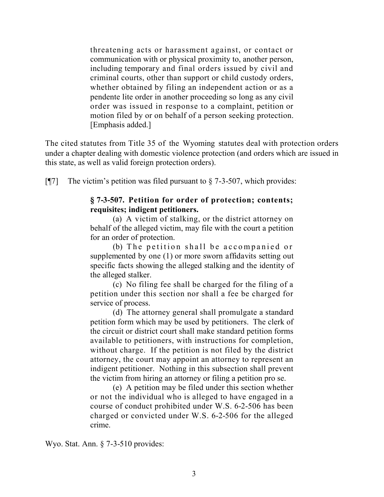threatening acts or harassment against, or contact or communication with or physical proximity to, another person, including temporary and final orders issued by civil and criminal courts, other than support or child custody orders, whether obtained by filing an independent action or as a pendente lite order in another proceeding so long as any civil order was issued in response to a complaint, petition or motion filed by or on behalf of a person seeking protection. [Emphasis added.]

The cited statutes from Title 35 of the Wyoming statutes deal with protection orders under a chapter dealing with domestic violence protection (and orders which are issued in this state, as well as valid foreign protection orders).

[ $[$ ] The victim's petition was filed pursuant to  $\S$  7-3-507, which provides:

## **§ 7-3-507. Petition for order of protection; contents; requisites; indigent petitioners.**

(a) A victim of stalking, or the district attorney on behalf of the alleged victim, may file with the court a petition for an order of protection.

(b) The petition shall be accompanied or supplemented by one (1) or more sworn affidavits setting out specific facts showing the alleged stalking and the identity of the alleged stalker.

(c) No filing fee shall be charged for the filing of a petition under this section nor shall a fee be charged for service of process.

(d) The attorney general shall promulgate a standard petition form which may be used by petitioners. The clerk of the circuit or district court shall make standard petition forms available to petitioners, with instructions for completion, without charge. If the petition is not filed by the district attorney, the court may appoint an attorney to represent an indigent petitioner. Nothing in this subsection shall prevent the victim from hiring an attorney or filing a petition pro se.

(e) A petition may be filed under this section whether or not the individual who is alleged to have engaged in a course of conduct prohibited under W.S. 6-2-506 has been charged or convicted under W.S. 6-2-506 for the alleged crime.

Wyo. Stat. Ann. § 7-3-510 provides: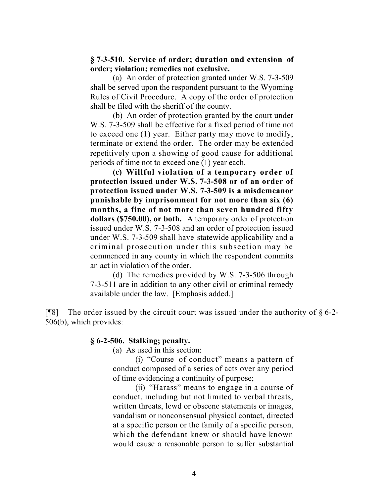## **§ 7-3-510. Service of order; duration and extension of order; violation; remedies not exclusive.**

(a) An order of protection granted under W.S. 7-3-509 shall be served upon the respondent pursuant to the Wyoming Rules of Civil Procedure. A copy of the order of protection shall be filed with the sheriff of the county.

(b) An order of protection granted by the court under W.S. 7-3-509 shall be effective for a fixed period of time not to exceed one (1) year. Either party may move to modify, terminate or extend the order. The order may be extended repetitively upon a showing of good cause for additional periods of time not to exceed one (1) year each.

**(c) Willful violation of a temporary order of protection issued under W.S. 7-3-508 or of an order of protection issued under W.S. 7-3-509 is a misdemeanor punishable by imprisonment for not more than six (6) months, a fine of not more than seven hundred fifty dollars (\$750.00), or both.** A temporary order of protection issued under W.S. 7-3-508 and an order of protection issued under W.S. 7-3-509 shall have statewide applicability and a criminal prosecution under this subsection may be commenced in any county in which the respondent commits an act in violation of the order.

(d) The remedies provided by W.S. 7-3-506 through 7-3-511 are in addition to any other civil or criminal remedy available under the law. [Emphasis added.]

[ $[$ [8] The order issued by the circuit court was issued under the authority of  $\S$  6-2-506(b), which provides:

## **§ 6-2-506. Stalking; penalty.**

(a) As used in this section:

(i) "Course of conduct" means a pattern of conduct composed of a series of acts over any period of time evidencing a continuity of purpose;

(ii) "Harass" means to engage in a course of conduct, including but not limited to verbal threats, written threats, lewd or obscene statements or images, vandalism or nonconsensual physical contact, directed at a specific person or the family of a specific person, which the defendant knew or should have known would cause a reasonable person to suffer substantial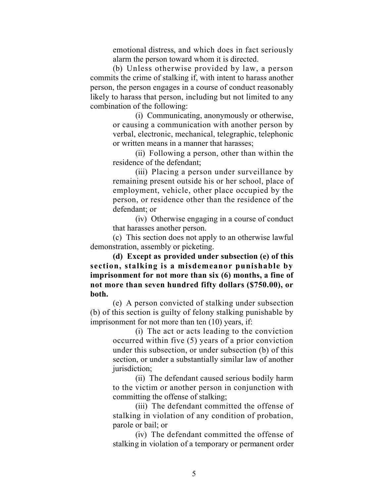emotional distress, and which does in fact seriously alarm the person toward whom it is directed.

(b) Unless otherwise provided by law, a person commits the crime of stalking if, with intent to harass another person, the person engages in a course of conduct reasonably likely to harass that person, including but not limited to any combination of the following:

> (i) Communicating, anonymously or otherwise, or causing a communication with another person by verbal, electronic, mechanical, telegraphic, telephonic or written means in a manner that harasses;

> (ii) Following a person, other than within the residence of the defendant;

> (iii) Placing a person under surveillance by remaining present outside his or her school, place of employment, vehicle, other place occupied by the person, or residence other than the residence of the defendant; or

> (iv) Otherwise engaging in a course of conduct that harasses another person.

(c) This section does not apply to an otherwise lawful demonstration, assembly or picketing.

**(d) Except as provided under subsection (e) of this section, stalking is a misdemeanor punishable by imprisonment for not more than six (6) months, a fine of not more than seven hundred fifty dollars (\$750.00), or both.**

(e) A person convicted of stalking under subsection (b) of this section is guilty of felony stalking punishable by imprisonment for not more than ten (10) years, if:

> (i) The act or acts leading to the conviction occurred within five (5) years of a prior conviction under this subsection, or under subsection (b) of this section, or under a substantially similar law of another jurisdiction;

> (ii) The defendant caused serious bodily harm to the victim or another person in conjunction with committing the offense of stalking;

> (iii) The defendant committed the offense of stalking in violation of any condition of probation, parole or bail; or

> (iv) The defendant committed the offense of stalking in violation of a temporary or permanent order